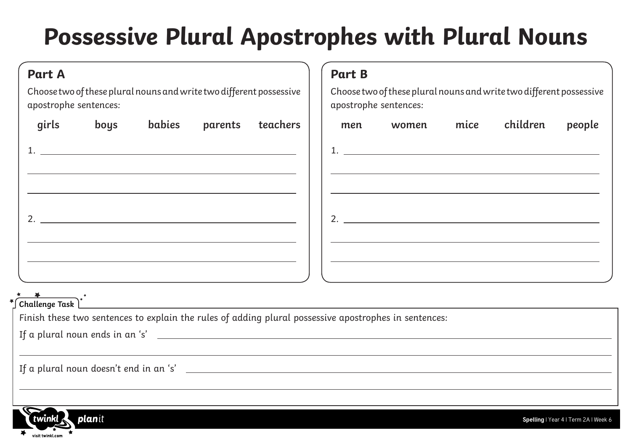## **Possessive Plural Apostrophes with Plural Nouns**

| <b>Part A</b>                                                                                                                                                   | <b>Part B</b>                                                                                |
|-----------------------------------------------------------------------------------------------------------------------------------------------------------------|----------------------------------------------------------------------------------------------|
| Choose two of these plural nouns and write two different possessive<br>apostrophe sentences:                                                                    | Choose two of these plural nouns and write two different possessive<br>apostrophe sentences: |
| boys<br>babies<br>girls<br>parents<br>teachers                                                                                                                  | children<br>women mice<br>people<br>men                                                      |
|                                                                                                                                                                 |                                                                                              |
|                                                                                                                                                                 |                                                                                              |
|                                                                                                                                                                 | 2. $\overline{\phantom{a}}$                                                                  |
|                                                                                                                                                                 |                                                                                              |
| and the control of the control of the control of the control of the control of the control of the control of the<br>$\sum_{\text{challenge Task}}^{\text{max}}$ |                                                                                              |
| Finish these two sentences to explain the rules of adding plural possessive apostrophes in sentences:                                                           |                                                                                              |
| If a plural noun ends in an 's' $\overline{\phantom{a}}$                                                                                                        |                                                                                              |
|                                                                                                                                                                 |                                                                                              |